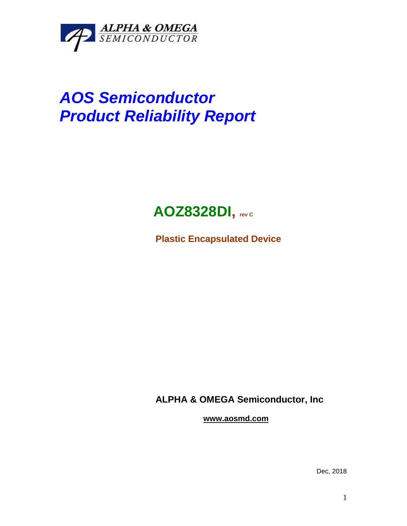

# *AOS Semiconductor Product Reliability Report*

# **AOZ8328DI, rev <sup>C</sup>**

**Plastic Encapsulated Device**

**ALPHA & OMEGA Semiconductor, Inc**

**www.aosmd.com**

Dec, 2018